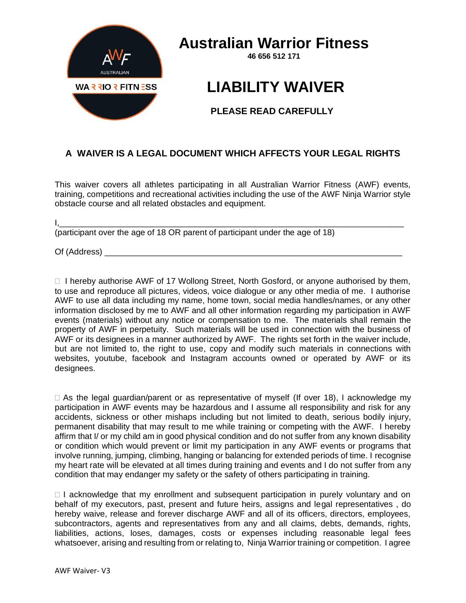

## **Australian Warrior Fitness**

**46 656 512 171**

## **LIABILITY WAIVER**

## **PLEASE READ CAREFULLY**

## **A WAIVER IS A LEGAL DOCUMENT WHICH AFFECTS YOUR LEGAL RIGHTS**

This waiver covers all athletes participating in all Australian Warrior Fitness (AWF) events, training, competitions and recreational activities including the use of the AWF Ninja Warrior style obstacle course and all related obstacles and equipment.

I,\_\_\_\_\_\_\_\_\_\_\_\_\_\_\_\_\_\_\_\_\_\_\_\_\_\_\_\_\_\_\_\_\_\_\_\_\_\_\_\_\_\_\_\_\_\_\_\_\_\_\_\_\_\_\_\_\_\_\_\_\_\_\_\_\_\_\_\_\_\_\_\_\_\_

(participant over the age of 18 OR parent of participant under the age of 18)

Of (Address)

 $\Box$  I hereby authorise AWF of 17 Wollong Street, North Gosford, or anyone authorised by them, to use and reproduce all pictures, videos, voice dialogue or any other media of me. I authorise AWF to use all data including my name, home town, social media handles/names, or any other information disclosed by me to AWF and all other information regarding my participation in AWF events (materials) without any notice or compensation to me. The materials shall remain the property of AWF in perpetuity. Such materials will be used in connection with the business of AWF or its designees in a manner authorized by AWF. The rights set forth in the waiver include, but are not limited to, the right to use, copy and modify such materials in connections with websites, youtube, facebook and Instagram accounts owned or operated by AWF or its designees.

 $\Box$  As the legal guardian/parent or as representative of myself (If over 18), I acknowledge my participation in AWF events may be hazardous and I assume all responsibility and risk for any accidents, sickness or other mishaps including but not limited to death, serious bodily injury, permanent disability that may result to me while training or competing with the AWF. I hereby affirm that I/ or my child am in good physical condition and do not suffer from any known disability or condition which would prevent or limit my participation in any AWF events or programs that involve running, jumping, climbing, hanging or balancing for extended periods of time. I recognise my heart rate will be elevated at all times during training and events and I do not suffer from any condition that may endanger my safety or the safety of others participating in training.

 $\Box$  I acknowledge that my enrollment and subsequent participation in purely voluntary and on behalf of my executors, past, present and future heirs, assigns and legal representatives , do hereby waive, release and forever discharge AWF and all of its officers, directors, employees, subcontractors, agents and representatives from any and all claims, debts, demands, rights, liabilities, actions, loses, damages, costs or expenses including reasonable legal fees whatsoever, arising and resulting from or relating to, Ninja Warrior training or competition. I agree